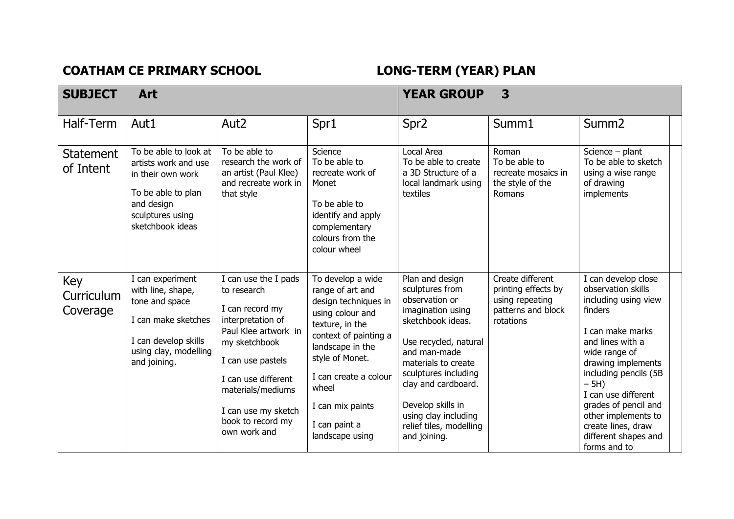## COATHAM CE PRIMARY SCHOOL **LONG-TERM** (YEAR) PLAN

| <b>SUBJECT</b>                | <b>Art</b>                                                                                                                                      |                                                                                                                                                                                                                                                   |                                                                                                                                                                                                                                                                |                                                                                                                                                                                                                                                                                                       | <b>YEAR GROUP</b><br>3                                                                        |                                                                                                                                                                                                                                                                                                                                     |  |  |
|-------------------------------|-------------------------------------------------------------------------------------------------------------------------------------------------|---------------------------------------------------------------------------------------------------------------------------------------------------------------------------------------------------------------------------------------------------|----------------------------------------------------------------------------------------------------------------------------------------------------------------------------------------------------------------------------------------------------------------|-------------------------------------------------------------------------------------------------------------------------------------------------------------------------------------------------------------------------------------------------------------------------------------------------------|-----------------------------------------------------------------------------------------------|-------------------------------------------------------------------------------------------------------------------------------------------------------------------------------------------------------------------------------------------------------------------------------------------------------------------------------------|--|--|
| Half-Term                     | Aut1                                                                                                                                            | Aut <sub>2</sub>                                                                                                                                                                                                                                  | Spr1                                                                                                                                                                                                                                                           | Spr <sub>2</sub>                                                                                                                                                                                                                                                                                      | Summ1                                                                                         | Summ <sub>2</sub>                                                                                                                                                                                                                                                                                                                   |  |  |
| <b>Statement</b><br>of Intent | To be able to look at<br>artists work and use<br>in their own work<br>To be able to plan<br>and design<br>sculptures using<br>sketchbook ideas  | To be able to<br>research the work of<br>an artist (Paul Klee)<br>and recreate work in<br>that style                                                                                                                                              | Science<br>To be able to<br>recreate work of<br>Monet<br>To be able to<br>identify and apply<br>complementary<br>colours from the<br>colour wheel                                                                                                              | Local Area<br>To be able to create<br>a 3D Structure of a<br>local landmark using<br>textiles                                                                                                                                                                                                         | Roman<br>To be able to<br>recreate mosaics in<br>the style of the<br><b>Romans</b>            | Science - plant<br>To be able to sketch<br>using a wise range<br>of drawing<br>implements                                                                                                                                                                                                                                           |  |  |
| Key<br>Curriculum<br>Coverage | I can experiment<br>with line, shape,<br>tone and space<br>I can make sketches<br>I can develop skills<br>using clay, modelling<br>and joining. | I can use the I pads<br>to research<br>I can record my<br>interpretation of<br>Paul Klee artwork in<br>my sketchbook<br>I can use pastels<br>I can use different<br>materials/mediums<br>I can use my sketch<br>book to record my<br>own work and | To develop a wide<br>range of art and<br>design techniques in<br>using colour and<br>texture, in the<br>context of painting a<br>landscape in the<br>style of Monet.<br>I can create a colour<br>wheel<br>I can mix paints<br>I can paint a<br>landscape using | Plan and design<br>sculptures from<br>observation or<br>imagination using<br>sketchbook ideas.<br>Use recycled, natural<br>and man-made<br>materials to create<br>sculptures including<br>clay and cardboard.<br>Develop skills in<br>using clay including<br>relief tiles, modelling<br>and joining. | Create different<br>printing effects by<br>using repeating<br>patterns and block<br>rotations | I can develop close<br>observation skills<br>including using view<br>finders<br>I can make marks<br>and lines with a<br>wide range of<br>drawing implements<br>including pencils (5B<br>$-5H$ )<br>I can use different<br>grades of pencil and<br>other implements to<br>create lines, draw<br>different shapes and<br>forms and to |  |  |